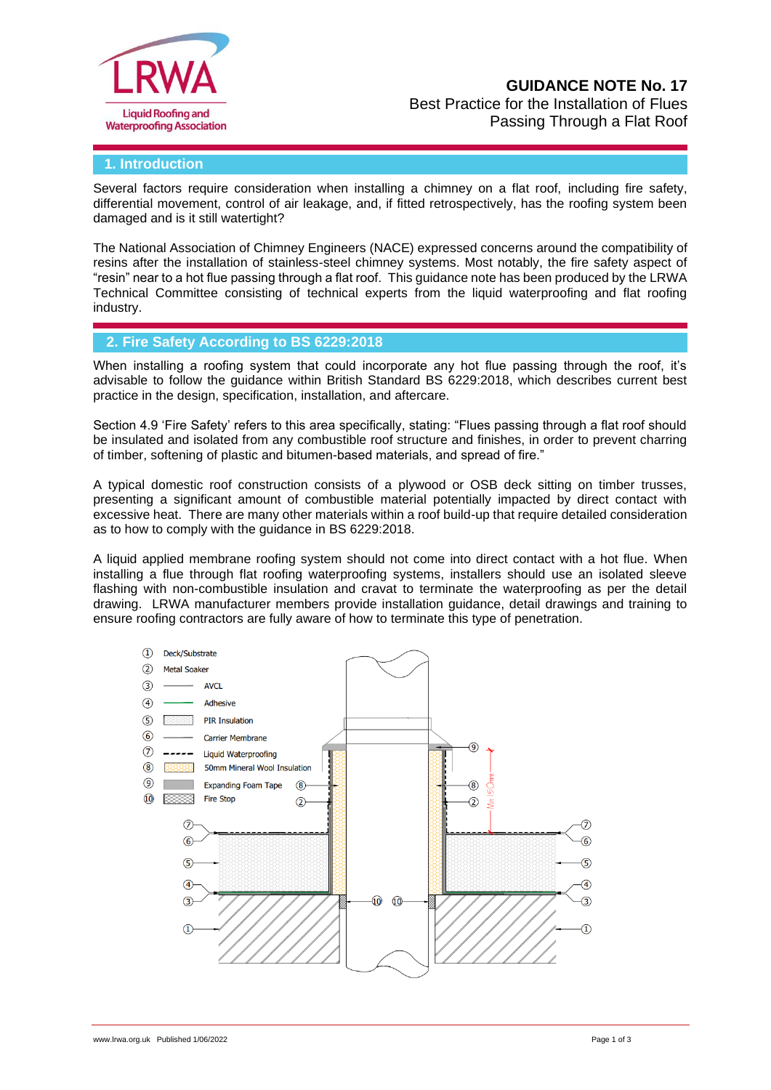

# **GUIDANCE NOTE No. 17**

Best Practice for the Installation of Flues Passing Through a Flat Roof

#### **1. Introduction**

Several factors require consideration when installing a chimney on a flat roof, including fire safety, differential movement, control of air leakage, and, if fitted retrospectively, has the roofing system been damaged and is it still watertight?

The National Association of Chimney Engineers (NACE) expressed concerns around the compatibility of resins after the installation of stainless-steel chimney systems. Most notably, the fire safety aspect of "resin" near to a hot flue passing through a flat roof. This guidance note has been produced by the LRWA Technical Committee consisting of technical experts from the liquid waterproofing and flat roofing industry.

### **2. Fire Safety According to BS 6229:2018**

When installing a roofing system that could incorporate any hot flue passing through the roof, it's advisable to follow the guidance within British Standard BS 6229:2018, which describes current best practice in the design, specification, installation, and aftercare.

Section 4.9 'Fire Safety' refers to this area specifically, stating: "Flues passing through a flat roof should be insulated and isolated from any combustible roof structure and finishes, in order to prevent charring of timber, softening of plastic and bitumen-based materials, and spread of fire."

A typical domestic roof construction consists of a plywood or OSB deck sitting on timber trusses, presenting a significant amount of combustible material potentially impacted by direct contact with excessive heat. There are many other materials within a roof build-up that require detailed consideration as to how to comply with the guidance in BS 6229:2018.

A liquid applied membrane roofing system should not come into direct contact with a hot flue. When installing a flue through flat roofing waterproofing systems, installers should use an isolated sleeve flashing with non-combustible insulation and cravat to terminate the waterproofing as per the detail drawing. LRWA manufacturer members provide installation guidance, detail drawings and training to ensure roofing contractors are fully aware of how to terminate this type of penetration.

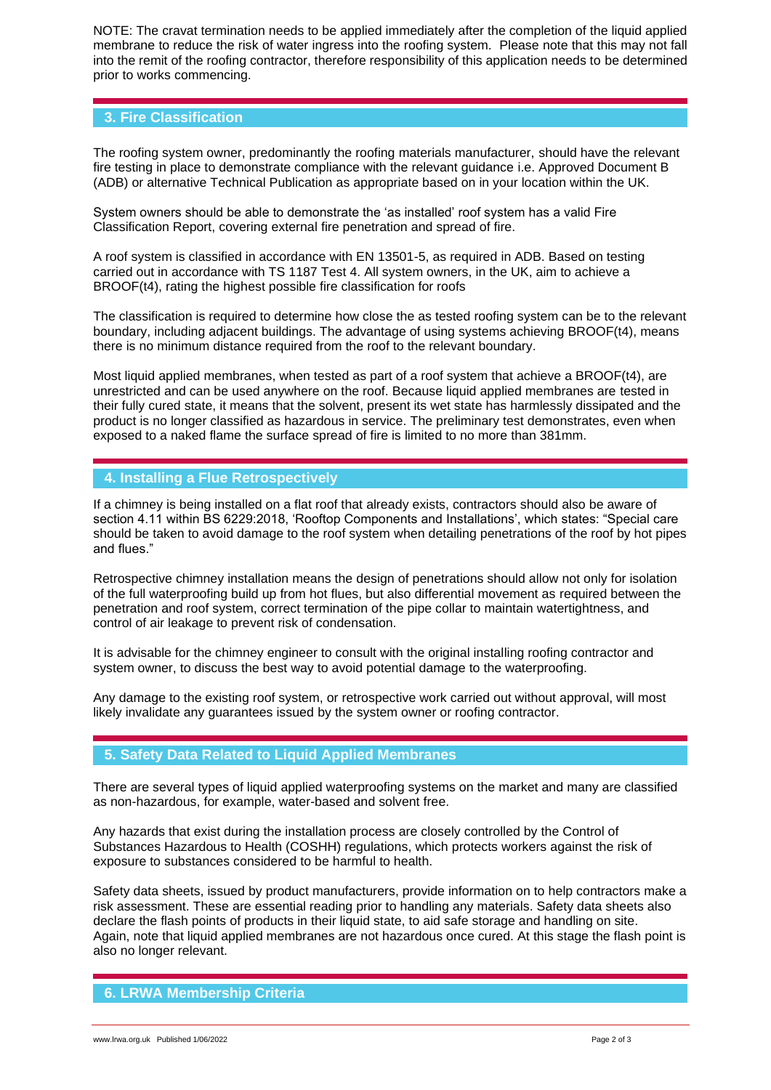NOTE: The cravat termination needs to be applied immediately after the completion of the liquid applied membrane to reduce the risk of water ingress into the roofing system. Please note that this may not fall into the remit of the roofing contractor, therefore responsibility of this application needs to be determined prior to works commencing.

### **3. Fire Classification**

The roofing system owner, predominantly the roofing materials manufacturer, should have the relevant fire testing in place to demonstrate compliance with the relevant guidance i.e. Approved Document B (ADB) or alternative Technical Publication as appropriate based on in your location within the UK.

System owners should be able to demonstrate the 'as installed' roof system has a valid Fire Classification Report, covering external fire penetration and spread of fire.

A roof system is classified in accordance with EN 13501-5, as required in ADB. Based on testing carried out in accordance with TS 1187 Test 4. All system owners, in the UK, aim to achieve a BROOF(t4), rating the highest possible fire classification for roofs

The classification is required to determine how close the as tested roofing system can be to the relevant boundary, including adjacent buildings. The advantage of using systems achieving BROOF(t4), means there is no minimum distance required from the roof to the relevant boundary.

Most liquid applied membranes, when tested as part of a roof system that achieve a BROOF(t4), are unrestricted and can be used anywhere on the roof. Because liquid applied membranes are tested in their fully cured state, it means that the solvent, present its wet state has harmlessly dissipated and the product is no longer classified as hazardous in service. The preliminary test demonstrates, even when exposed to a naked flame the surface spread of fire is limited to no more than 381mm.

### **4. Installing a Flue Retrospectively**

If a chimney is being installed on a flat roof that already exists, contractors should also be aware of section 4.11 within BS 6229:2018, 'Rooftop Components and Installations', which states: "Special care should be taken to avoid damage to the roof system when detailing penetrations of the roof by hot pipes and flues."

Retrospective chimney installation means the design of penetrations should allow not only for isolation of the full waterproofing build up from hot flues, but also differential movement as required between the penetration and roof system, correct termination of the pipe collar to maintain watertightness, and control of air leakage to prevent risk of condensation.

It is advisable for the chimney engineer to consult with the original installing roofing contractor and system owner, to discuss the best way to avoid potential damage to the waterproofing.

Any damage to the existing roof system, or retrospective work carried out without approval, will most likely invalidate any guarantees issued by the system owner or roofing contractor.

## **5. Safety Data Related to Liquid Applied Membranes**

There are several types of liquid applied waterproofing systems on the market and many are classified as non-hazardous, for example, water-based and solvent free.

Any hazards that exist during the installation process are closely controlled by the Control of Substances Hazardous to Health (COSHH) regulations, which protects workers against the risk of exposure to substances considered to be harmful to health.

Safety data sheets, issued by product manufacturers, provide information on to help contractors make a risk assessment. These are essential reading prior to handling any materials. Safety data sheets also declare the flash points of products in their liquid state, to aid safe storage and handling on site. Again, note that liquid applied membranes are not hazardous once cured. At this stage the flash point is also no longer relevant.

## **6. LRWA Membership Criteria**